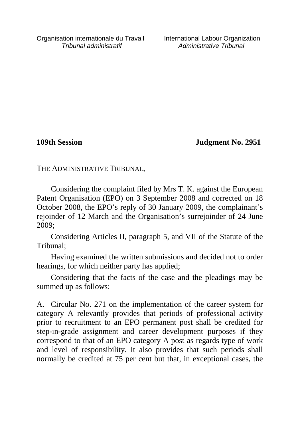**109th Session Judgment No. 2951**

THE ADMINISTRATIVE TRIBUNAL,

Considering the complaint filed by Mrs T. K. against the European Patent Organisation (EPO) on 3 September 2008 and corrected on 18 October 2008, the EPO's reply of 30 January 2009, the complainant's rejoinder of 12 March and the Organisation's surrejoinder of 24 June 2009;

Considering Articles II, paragraph 5, and VII of the Statute of the Tribunal;

Having examined the written submissions and decided not to order hearings, for which neither party has applied;

Considering that the facts of the case and the pleadings may be summed up as follows:

A. Circular No. 271 on the implementation of the career system for category A relevantly provides that periods of professional activity prior to recruitment to an EPO permanent post shall be credited for step-in-grade assignment and career development purposes if they correspond to that of an EPO category A post as regards type of work and level of responsibility. It also provides that such periods shall normally be credited at 75 per cent but that, in exceptional cases, the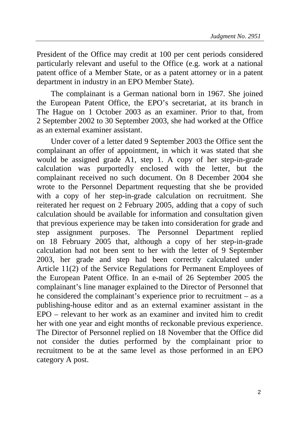President of the Office may credit at 100 per cent periods considered particularly relevant and useful to the Office (e.g. work at a national patent office of a Member State, or as a patent attorney or in a patent department in industry in an EPO Member State).

The complainant is a German national born in 1967. She joined the European Patent Office, the EPO's secretariat, at its branch in The Hague on 1 October 2003 as an examiner. Prior to that, from 2 September 2002 to 30 September 2003, she had worked at the Office as an external examiner assistant.

Under cover of a letter dated 9 September 2003 the Office sent the complainant an offer of appointment, in which it was stated that she would be assigned grade A1, step 1. A copy of her step-in-grade calculation was purportedly enclosed with the letter, but the complainant received no such document. On 8 December 2004 she wrote to the Personnel Department requesting that she be provided with a copy of her step-in-grade calculation on recruitment. She reiterated her request on 2 February 2005, adding that a copy of such calculation should be available for information and consultation given that previous experience may be taken into consideration for grade and step assignment purposes. The Personnel Department replied on 18 February 2005 that, although a copy of her step-in-grade calculation had not been sent to her with the letter of 9 September 2003, her grade and step had been correctly calculated under Article 11(2) of the Service Regulations for Permanent Employees of the European Patent Office. In an e-mail of 26 September 2005 the complainant's line manager explained to the Director of Personnel that he considered the complainant's experience prior to recruitment – as a publishing-house editor and as an external examiner assistant in the EPO – relevant to her work as an examiner and invited him to credit her with one year and eight months of reckonable previous experience. The Director of Personnel replied on 18 November that the Office did not consider the duties performed by the complainant prior to recruitment to be at the same level as those performed in an EPO category A post.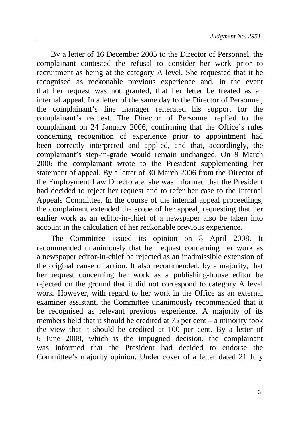By a letter of 16 December 2005 to the Director of Personnel, the complainant contested the refusal to consider her work prior to recruitment as being at the category A level. She requested that it be recognised as reckonable previous experience and, in the event that her request was not granted, that her letter be treated as an internal appeal. In a letter of the same day to the Director of Personnel, the complainant's line manager reiterated his support for the complainant's request. The Director of Personnel replied to the complainant on 24 January 2006, confirming that the Office's rules concerning recognition of experience prior to appointment had been correctly interpreted and applied, and that, accordingly, the complainant's step-in-grade would remain unchanged. On 9 March 2006 the complainant wrote to the President supplementing her statement of appeal. By a letter of 30 March 2006 from the Director of the Employment Law Directorate, she was informed that the President had decided to reject her request and to refer her case to the Internal Appeals Committee. In the course of the internal appeal proceedings, the complainant extended the scope of her appeal, requesting that her earlier work as an editor-in-chief of a newspaper also be taken into account in the calculation of her reckonable previous experience.

The Committee issued its opinion on 8 April 2008. It recommended unanimously that her request concerning her work as a newspaper editor-in-chief be rejected as an inadmissible extension of the original cause of action. It also recommended, by a majority, that her request concerning her work as a publishing-house editor be rejected on the ground that it did not correspond to category A level work. However, with regard to her work in the Office as an external examiner assistant, the Committee unanimously recommended that it be recognised as relevant previous experience. A majority of its members held that it should be credited at 75 per cent – a minority took the view that it should be credited at 100 per cent. By a letter of 6 June 2008, which is the impugned decision, the complainant was informed that the President had decided to endorse the Committee's majority opinion. Under cover of a letter dated 21 July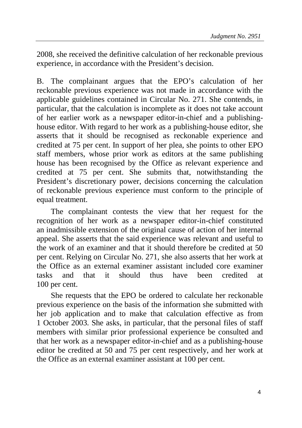2008, she received the definitive calculation of her reckonable previous experience, in accordance with the President's decision.

B. The complainant argues that the EPO's calculation of her reckonable previous experience was not made in accordance with the applicable guidelines contained in Circular No. 271. She contends, in particular, that the calculation is incomplete as it does not take account of her earlier work as a newspaper editor-in-chief and a publishinghouse editor. With regard to her work as a publishing-house editor, she asserts that it should be recognised as reckonable experience and credited at 75 per cent. In support of her plea, she points to other EPO staff members, whose prior work as editors at the same publishing house has been recognised by the Office as relevant experience and credited at 75 per cent. She submits that, notwithstanding the President's discretionary power, decisions concerning the calculation of reckonable previous experience must conform to the principle of equal treatment.

The complainant contests the view that her request for the recognition of her work as a newspaper editor-in-chief constituted an inadmissible extension of the original cause of action of her internal appeal. She asserts that the said experience was relevant and useful to the work of an examiner and that it should therefore be credited at 50 per cent. Relying on Circular No. 271, she also asserts that her work at the Office as an external examiner assistant included core examiner tasks and that it should thus have been credited at 100 per cent.

She requests that the EPO be ordered to calculate her reckonable previous experience on the basis of the information she submitted with her job application and to make that calculation effective as from 1 October 2003. She asks, in particular, that the personal files of staff members with similar prior professional experience be consulted and that her work as a newspaper editor-in-chief and as a publishing-house editor be credited at 50 and 75 per cent respectively, and her work at the Office as an external examiner assistant at 100 per cent.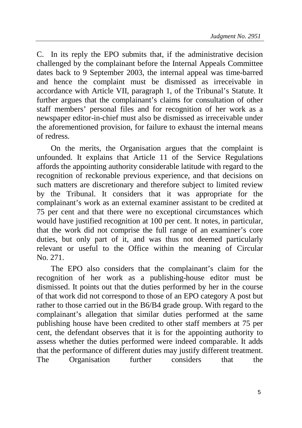C. In its reply the EPO submits that, if the administrative decision challenged by the complainant before the Internal Appeals Committee dates back to 9 September 2003, the internal appeal was time-barred and hence the complaint must be dismissed as irreceivable in accordance with Article VII, paragraph 1, of the Tribunal's Statute. It further argues that the complainant's claims for consultation of other staff members' personal files and for recognition of her work as a newspaper editor-in-chief must also be dismissed as irreceivable under the aforementioned provision, for failure to exhaust the internal means of redress.

On the merits, the Organisation argues that the complaint is unfounded. It explains that Article 11 of the Service Regulations affords the appointing authority considerable latitude with regard to the recognition of reckonable previous experience, and that decisions on such matters are discretionary and therefore subject to limited review by the Tribunal. It considers that it was appropriate for the complainant's work as an external examiner assistant to be credited at 75 per cent and that there were no exceptional circumstances which would have justified recognition at 100 per cent. It notes, in particular, that the work did not comprise the full range of an examiner's core duties, but only part of it, and was thus not deemed particularly relevant or useful to the Office within the meaning of Circular No. 271.

The EPO also considers that the complainant's claim for the recognition of her work as a publishing-house editor must be dismissed. It points out that the duties performed by her in the course of that work did not correspond to those of an EPO category A post but rather to those carried out in the B6/B4 grade group. With regard to the complainant's allegation that similar duties performed at the same publishing house have been credited to other staff members at 75 per cent, the defendant observes that it is for the appointing authority to assess whether the duties performed were indeed comparable. It adds that the performance of different duties may justify different treatment. The Organisation further considers that the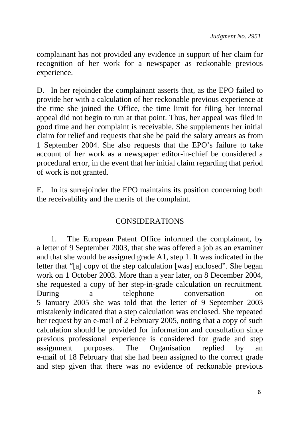complainant has not provided any evidence in support of her claim for recognition of her work for a newspaper as reckonable previous experience.

D. In her rejoinder the complainant asserts that, as the EPO failed to provide her with a calculation of her reckonable previous experience at the time she joined the Office, the time limit for filing her internal appeal did not begin to run at that point. Thus, her appeal was filed in good time and her complaint is receivable. She supplements her initial claim for relief and requests that she be paid the salary arrears as from 1 September 2004. She also requests that the EPO's failure to take account of her work as a newspaper editor-in-chief be considered a procedural error, in the event that her initial claim regarding that period of work is not granted.

E. In its surrejoinder the EPO maintains its position concerning both the receivability and the merits of the complaint.

## CONSIDERATIONS

1. The European Patent Office informed the complainant, by a letter of 9 September 2003, that she was offered a job as an examiner and that she would be assigned grade A1, step 1. It was indicated in the letter that "[a] copy of the step calculation [was] enclosed". She began work on 1 October 2003. More than a year later, on 8 December 2004, she requested a copy of her step-in-grade calculation on recruitment. During a telephone conversation on 5 January 2005 she was told that the letter of 9 September 2003 mistakenly indicated that a step calculation was enclosed. She repeated her request by an e-mail of 2 February 2005, noting that a copy of such calculation should be provided for information and consultation since previous professional experience is considered for grade and step assignment purposes. The Organisation replied by an e-mail of 18 February that she had been assigned to the correct grade and step given that there was no evidence of reckonable previous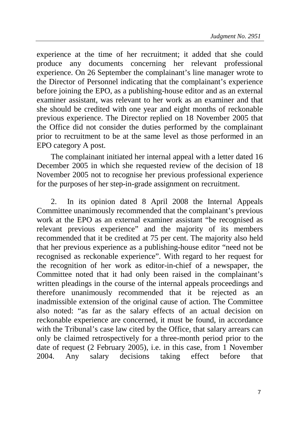experience at the time of her recruitment; it added that she could produce any documents concerning her relevant professional experience. On 26 September the complainant's line manager wrote to the Director of Personnel indicating that the complainant's experience before joining the EPO, as a publishing-house editor and as an external examiner assistant, was relevant to her work as an examiner and that she should be credited with one year and eight months of reckonable previous experience. The Director replied on 18 November 2005 that the Office did not consider the duties performed by the complainant prior to recruitment to be at the same level as those performed in an EPO category A post.

The complainant initiated her internal appeal with a letter dated 16 December 2005 in which she requested review of the decision of 18 November 2005 not to recognise her previous professional experience for the purposes of her step-in-grade assignment on recruitment.

2. In its opinion dated 8 April 2008 the Internal Appeals Committee unanimously recommended that the complainant's previous work at the EPO as an external examiner assistant "be recognised as relevant previous experience" and the majority of its members recommended that it be credited at 75 per cent. The majority also held that her previous experience as a publishing-house editor "need not be recognised as reckonable experience". With regard to her request for the recognition of her work as editor-in-chief of a newspaper, the Committee noted that it had only been raised in the complainant's written pleadings in the course of the internal appeals proceedings and therefore unanimously recommended that it be rejected as an inadmissible extension of the original cause of action. The Committee also noted: "as far as the salary effects of an actual decision on reckonable experience are concerned, it must be found, in accordance with the Tribunal's case law cited by the Office, that salary arrears can only be claimed retrospectively for a three-month period prior to the date of request (2 February 2005), i.e. in this case, from 1 November 2004. Any salary decisions taking effect before that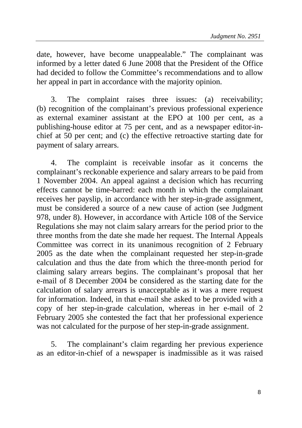date, however, have become unappealable." The complainant was informed by a letter dated 6 June 2008 that the President of the Office had decided to follow the Committee's recommendations and to allow her appeal in part in accordance with the majority opinion.

3. The complaint raises three issues: (a) receivability; (b) recognition of the complainant's previous professional experience as external examiner assistant at the EPO at 100 per cent, as a publishing-house editor at 75 per cent, and as a newspaper editor-inchief at 50 per cent; and (c) the effective retroactive starting date for payment of salary arrears.

4. The complaint is receivable insofar as it concerns the complainant's reckonable experience and salary arrears to be paid from 1 November 2004. An appeal against a decision which has recurring effects cannot be time-barred: each month in which the complainant receives her payslip, in accordance with her step-in-grade assignment, must be considered a source of a new cause of action (see Judgment 978, under 8). However, in accordance with Article 108 of the Service Regulations she may not claim salary arrears for the period prior to the three months from the date she made her request. The Internal Appeals Committee was correct in its unanimous recognition of 2 February 2005 as the date when the complainant requested her step-in-grade calculation and thus the date from which the three-month period for claiming salary arrears begins. The complainant's proposal that her e-mail of 8 December 2004 be considered as the starting date for the calculation of salary arrears is unacceptable as it was a mere request for information. Indeed, in that e-mail she asked to be provided with a copy of her step-in-grade calculation, whereas in her e-mail of 2 February 2005 she contested the fact that her professional experience was not calculated for the purpose of her step-in-grade assignment.

5. The complainant's claim regarding her previous experience as an editor-in-chief of a newspaper is inadmissible as it was raised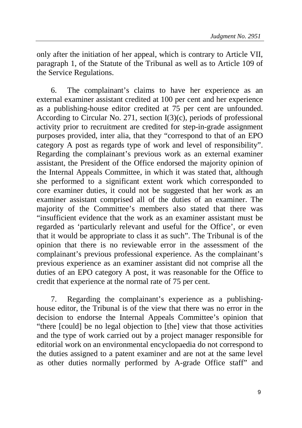only after the initiation of her appeal, which is contrary to Article VII, paragraph 1, of the Statute of the Tribunal as well as to Article 109 of the Service Regulations.

6. The complainant's claims to have her experience as an external examiner assistant credited at 100 per cent and her experience as a publishing-house editor credited at 75 per cent are unfounded. According to Circular No. 271, section I(3)(c), periods of professional activity prior to recruitment are credited for step-in-grade assignment purposes provided, inter alia, that they "correspond to that of an EPO category A post as regards type of work and level of responsibility". Regarding the complainant's previous work as an external examiner assistant, the President of the Office endorsed the majority opinion of the Internal Appeals Committee, in which it was stated that, although she performed to a significant extent work which corresponded to core examiner duties, it could not be suggested that her work as an examiner assistant comprised all of the duties of an examiner. The majority of the Committee's members also stated that there was "insufficient evidence that the work as an examiner assistant must be regarded as 'particularly relevant and useful for the Office', or even that it would be appropriate to class it as such". The Tribunal is of the opinion that there is no reviewable error in the assessment of the complainant's previous professional experience. As the complainant's previous experience as an examiner assistant did not comprise all the duties of an EPO category A post, it was reasonable for the Office to credit that experience at the normal rate of 75 per cent.

7. Regarding the complainant's experience as a publishinghouse editor, the Tribunal is of the view that there was no error in the decision to endorse the Internal Appeals Committee's opinion that "there [could] be no legal objection to [the] view that those activities and the type of work carried out by a project manager responsible for editorial work on an environmental encyclopaedia do not correspond to the duties assigned to a patent examiner and are not at the same level as other duties normally performed by A-grade Office staff" and